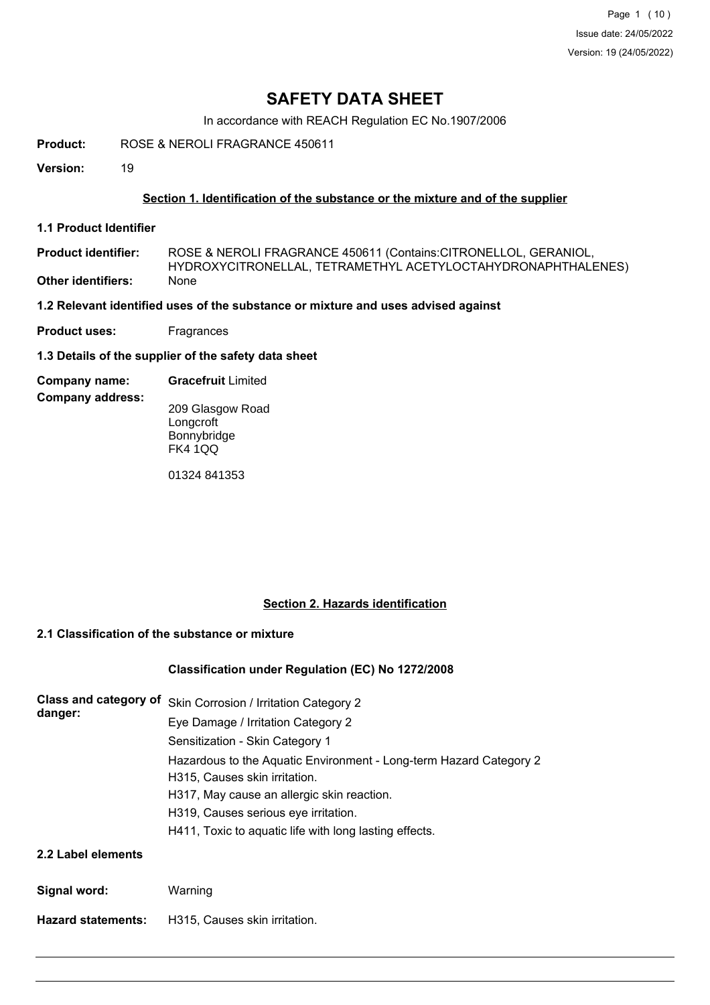# **SAFETY DATA SHEET**

In accordance with REACH Regulation EC No.1907/2006

**Product:** ROSE & NEROLI FRAGRANCE 450611

**Version:** 19

## **Section 1. Identification of the substance or the mixture and of the supplier**

**1.1 Product Identifier**

ROSE & NEROLI FRAGRANCE 450611 (Contains:CITRONELLOL, GERANIOL, HYDROXYCITRONELLAL, TETRAMETHYL ACETYLOCTAHYDRONAPHTHALENES) **Product identifier: Other identifiers:** None

**1.2 Relevant identified uses of the substance or mixture and uses advised against**

**Product uses:** Fragrances

**1.3 Details of the supplier of the safety data sheet**

### **Company name: Gracefruit** Limited

**Company address:**

209 Glasgow Road **Longcroft** Bonnybridge FK4 1QQ

01324 841353

## **Section 2. Hazards identification**

## **2.1 Classification of the substance or mixture**

## **Classification under Regulation (EC) No 1272/2008**

| <b>Class and category of</b><br>danger: | Skin Corrosion / Irritation Category 2                             |
|-----------------------------------------|--------------------------------------------------------------------|
|                                         | Eye Damage / Irritation Category 2                                 |
|                                         | Sensitization - Skin Category 1                                    |
|                                         | Hazardous to the Aquatic Environment - Long-term Hazard Category 2 |
|                                         | H315, Causes skin irritation.                                      |
|                                         | H317, May cause an allergic skin reaction.                         |
|                                         | H319, Causes serious eye irritation.                               |
|                                         | H411, Toxic to aquatic life with long lasting effects.             |
| 2.2 Label elements                      |                                                                    |

**Hazard statements:** H315, Causes skin irritation.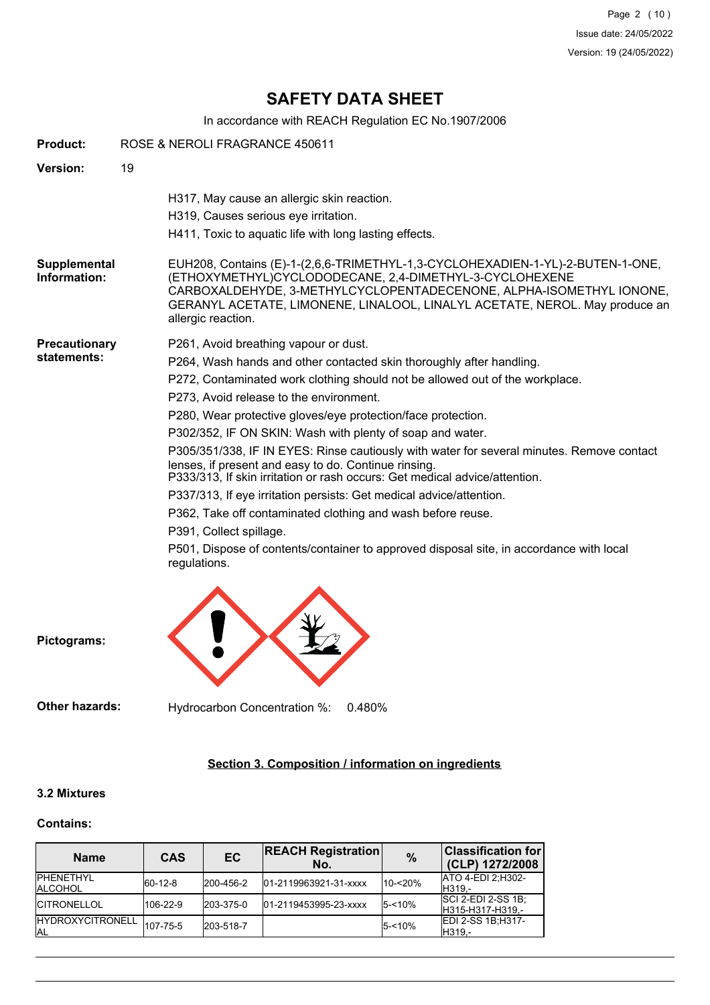Page 2 (10) Issue date: 24/05/2022 Version: 19 (24/05/2022)

# **SAFETY DATA SHEET**

In accordance with REACH Regulation EC No.1907/2006

| <b>Product:</b>                     | ROSE & NEROLI FRAGRANCE 450611                                                                                                                                                                                                                                                                                                                                                                                                                                                                                                                                                                                                                                                                                                                                                                                                                                                       |
|-------------------------------------|--------------------------------------------------------------------------------------------------------------------------------------------------------------------------------------------------------------------------------------------------------------------------------------------------------------------------------------------------------------------------------------------------------------------------------------------------------------------------------------------------------------------------------------------------------------------------------------------------------------------------------------------------------------------------------------------------------------------------------------------------------------------------------------------------------------------------------------------------------------------------------------|
| Version:                            | 19                                                                                                                                                                                                                                                                                                                                                                                                                                                                                                                                                                                                                                                                                                                                                                                                                                                                                   |
|                                     | H317, May cause an allergic skin reaction.<br>H319, Causes serious eye irritation.<br>H411, Toxic to aquatic life with long lasting effects.                                                                                                                                                                                                                                                                                                                                                                                                                                                                                                                                                                                                                                                                                                                                         |
| Supplemental<br>Information:        | EUH208, Contains (E)-1-(2,6,6-TRIMETHYL-1,3-CYCLOHEXADIEN-1-YL)-2-BUTEN-1-ONE,<br>(ETHOXYMETHYL)CYCLODODECANE, 2,4-DIMETHYL-3-CYCLOHEXENE<br>CARBOXALDEHYDE, 3-METHYLCYCLOPENTADECENONE, ALPHA-ISOMETHYL IONONE,<br>GERANYL ACETATE, LIMONENE, LINALOOL, LINALYL ACETATE, NEROL. May produce an<br>allergic reaction.                                                                                                                                                                                                                                                                                                                                                                                                                                                                                                                                                                |
| <b>Precautionary</b><br>statements: | P261, Avoid breathing vapour or dust.<br>P264, Wash hands and other contacted skin thoroughly after handling.<br>P272, Contaminated work clothing should not be allowed out of the workplace.<br>P273, Avoid release to the environment.<br>P280, Wear protective gloves/eye protection/face protection.<br>P302/352, IF ON SKIN: Wash with plenty of soap and water.<br>P305/351/338, IF IN EYES: Rinse cautiously with water for several minutes. Remove contact<br>lenses, if present and easy to do. Continue rinsing.<br>P333/313, If skin irritation or rash occurs: Get medical advice/attention.<br>P337/313, If eye irritation persists: Get medical advice/attention.<br>P362, Take off contaminated clothing and wash before reuse.<br>P391, Collect spillage.<br>P501, Dispose of contents/container to approved disposal site, in accordance with local<br>regulations. |
| Pictograms:                         |                                                                                                                                                                                                                                                                                                                                                                                                                                                                                                                                                                                                                                                                                                                                                                                                                                                                                      |

**Other hazards:** Hydrocarbon Concentration %: 0.480%

## **Section 3. Composition / information on ingredients**

## **3.2 Mixtures**

## **Contains:**

| <b>Name</b>                           | <b>CAS</b>  | <b>EC</b> | <b>REACH Registration</b><br>No. | $\frac{0}{0}$ | <b>Classification for</b><br>(CLP) 1272/2008  |  |
|---------------------------------------|-------------|-----------|----------------------------------|---------------|-----------------------------------------------|--|
| <b>IPHFNFTHYI</b><br><b>IALCOHOL</b>  | $ 60-12-8 $ | 200-456-2 | 01-2119963921-31-xxxx            | 10-<20%       | <b>ATO 4-EDI 2:H302-</b><br>IH319.-           |  |
| <b>ICITRONELLOL</b>                   | 106-22-9    | 203-375-0 | 01-2119453995-23-xxxx            | $5 - 10%$     | <b>SCI 2-EDI 2-SS 1B:</b><br>H315-H317-H319,- |  |
| <b>HYDROXYCITRONELL</b><br><b>JAL</b> | 107-75-5    | 203-518-7 |                                  | $5 - 10%$     | EDI 2-SS 1B:H317-<br>IH319.-                  |  |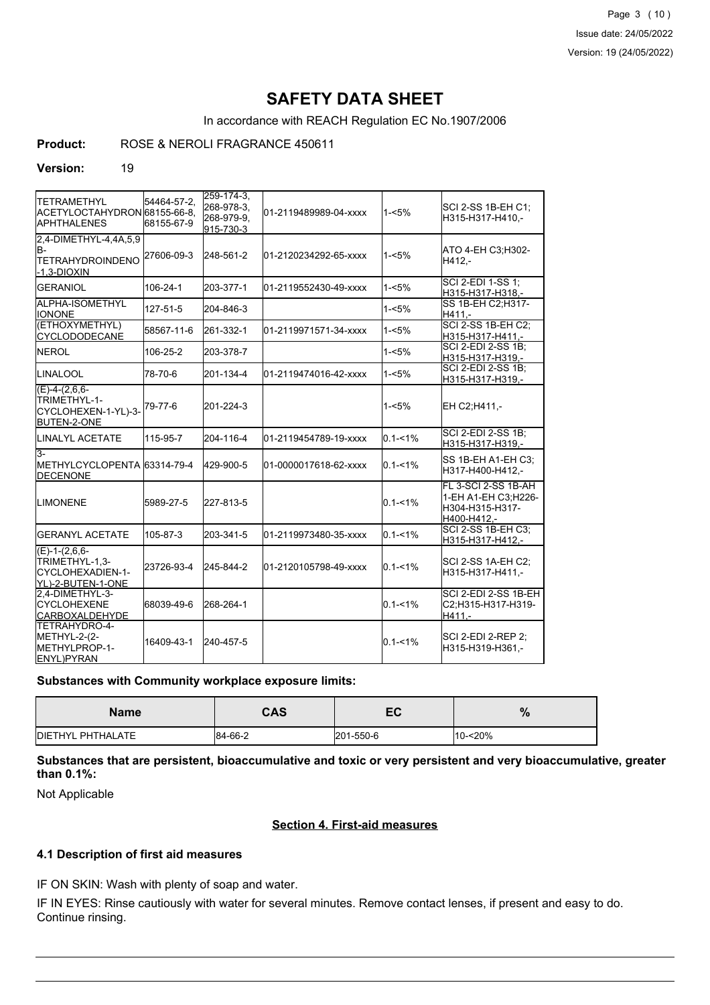Page 3 (10) Issue date: 24/05/2022 Version: 19 (24/05/2022)

# **SAFETY DATA SHEET**

In accordance with REACH Regulation EC No.1907/2006

**Product:** ROSE & NEROLI FRAGRANCE 450611

#### **Version:** 19

| ITETRAMETHYL<br>ACETYLOCTAHYDRON 68155-66-8,<br><b>I</b> APHTHALENES                | 54464-57-2,<br>68155-67-9 | $259 - 174 - 3$ ,<br>268-978-3.<br>268-979-9,<br>915-730-3 | 01-2119489989-04-xxxx | $1 - 5%$    | SCI 2-SS 1B-EH C1;<br>H315-H317-H410,-                                               |
|-------------------------------------------------------------------------------------|---------------------------|------------------------------------------------------------|-----------------------|-------------|--------------------------------------------------------------------------------------|
| 2,4-DIMETHYL-4,4A,5,9<br>lB-<br><b>TETRAHYDROINDENO</b><br>$-1,3-DIOXIN$            | 27606-09-3                | 248-561-2                                                  | 01-2120234292-65-xxxx | $1 - 5%$    | ATO 4-EH C3:H302-<br>H412.-                                                          |
| <b>GERANIOL</b>                                                                     | 106-24-1                  | 203-377-1                                                  | 01-2119552430-49-xxxx | $1 - 5%$    | SCI 2-EDI 1-SS 1;<br>H315-H317-H318,-                                                |
| ALPHA-ISOMETHYL<br><b>I</b> IONONE                                                  | 127-51-5                  | 204-846-3                                                  |                       | $1 - 5%$    | SS 1B-EH C2; H317-<br>H411.-                                                         |
| (ETHOXYMETHYL)<br><b>CYCLODODECANE</b>                                              | 58567-11-6                | 261-332-1                                                  | 01-2119971571-34-xxxx | $1 - 5%$    | <b>SCI 2-SS 1B-EH C2;</b><br>H315-H317-H411,-                                        |
| <b>INEROL</b>                                                                       | 106-25-2                  | 203-378-7                                                  |                       | $1 - 5%$    | SCI 2-EDI 2-SS 1B;<br>H315-H317-H319,-                                               |
| ILINALOOL                                                                           | 78-70-6                   | 201-134-4                                                  | 01-2119474016-42-xxxx | $1 - 5%$    | SCI 2-EDI 2-SS 1B;<br>H315-H317-H319,-                                               |
| $(E)-4-(2,6,6-$<br><b>TRIMETHYL-1-</b><br>CYCLOHEXEN-1-YL)-3-<br><b>BUTEN-2-ONE</b> | 79-77-6                   | 201-224-3                                                  |                       | $1 - 5%$    | EH C2:H411.-                                                                         |
| <b>I</b> LINALYL ACETATE                                                            | 115-95-7                  | 204-116-4                                                  | 01-2119454789-19-xxxx | $0.1 - 1\%$ | <b>SCI 2-EDI 2-SS 1B:</b><br>H315-H317-H319,-                                        |
| 3-<br>METHYLCYCLOPENTA 63314-79-4<br><b>DECENONE</b>                                |                           | 429-900-5                                                  | 01-0000017618-62-xxxx | $0.1 - 1\%$ | SS 1B-EH A1-EH C3:<br>H317-H400-H412.-                                               |
| <b>ILIMONENE</b>                                                                    | 5989-27-5                 | 227-813-5                                                  |                       | $0.1 - 1%$  | <b>IFL 3-SCI 2-SS 1B-AH</b><br>1-EH A1-EH C3;H226-<br>H304-H315-H317-<br>H400-H412.- |
| <b>I</b> GERANYL ACETATE                                                            | 105-87-3                  | 203-341-5                                                  | 01-2119973480-35-xxxx | $0.1 - 1\%$ | <b>SCI 2-SS 1B-EH C3:</b><br>H315-H317-H412,-                                        |
| $(E)-1-(2,6,6-$<br>TRIMETHYL-1,3-<br>CYCLOHEXADIEN-1-<br>YL)-2-BUTEN-1-ONE          | 23726-93-4                | 245-844-2                                                  | 01-2120105798-49-xxxx | $0.1 - 1\%$ | <b>SCI 2-SS 1A-EH C2:</b><br>H315-H317-H411,-                                        |
| 2.4-DIMETHYL-3-<br><b>ICYCLOHEXENE</b><br><b>CARBOXALDEHYDE</b>                     | 68039-49-6                | 268-264-1                                                  |                       | $0.1 - 1\%$ | SCI 2-EDI 2-SS 1B-EH<br>C2;H315-H317-H319-<br>H411.-                                 |
| TETRAHYDRO-4-<br>METHYL-2-(2-<br><b>IMETHYLPROP-1-</b><br>ENYL)PYRAN                | 16409-43-1                | 240-457-5                                                  |                       | $0.1 - 1%$  | SCI 2-EDI 2-REP 2:<br>H315-H319-H361.-                                               |

## **Substances with Community workplace exposure limits:**

| <b>Name</b>       | CAS     | cr<br>cv  | %          |
|-------------------|---------|-----------|------------|
| DIETHYL PHTHALATE | 84-66-2 | 201-550-6 | $10 - 20%$ |

**Substances that are persistent, bioaccumulative and toxic or very persistent and very bioaccumulative, greater than 0.1%:**

Not Applicable

## **Section 4. First-aid measures**

## **4.1 Description of first aid measures**

IF ON SKIN: Wash with plenty of soap and water.

IF IN EYES: Rinse cautiously with water for several minutes. Remove contact lenses, if present and easy to do. Continue rinsing.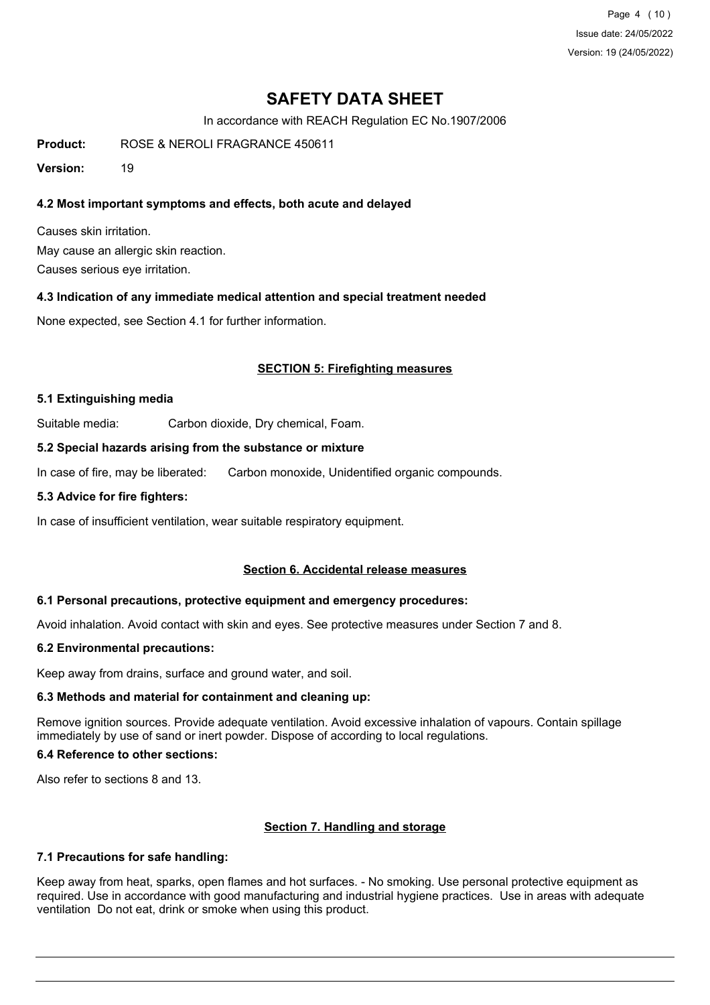Page 4 (10) Issue date: 24/05/2022 Version: 19 (24/05/2022)

# **SAFETY DATA SHEET**

In accordance with REACH Regulation EC No.1907/2006

**Product:** ROSE & NEROLI FRAGRANCE 450611

**Version:** 19

## **4.2 Most important symptoms and effects, both acute and delayed**

Causes skin irritation. May cause an allergic skin reaction. Causes serious eye irritation.

## **4.3 Indication of any immediate medical attention and special treatment needed**

None expected, see Section 4.1 for further information.

## **SECTION 5: Firefighting measures**

## **5.1 Extinguishing media**

Suitable media: Carbon dioxide, Dry chemical, Foam.

## **5.2 Special hazards arising from the substance or mixture**

In case of fire, may be liberated: Carbon monoxide, Unidentified organic compounds.

#### **5.3 Advice for fire fighters:**

In case of insufficient ventilation, wear suitable respiratory equipment.

## **Section 6. Accidental release measures**

## **6.1 Personal precautions, protective equipment and emergency procedures:**

Avoid inhalation. Avoid contact with skin and eyes. See protective measures under Section 7 and 8.

## **6.2 Environmental precautions:**

Keep away from drains, surface and ground water, and soil.

## **6.3 Methods and material for containment and cleaning up:**

Remove ignition sources. Provide adequate ventilation. Avoid excessive inhalation of vapours. Contain spillage immediately by use of sand or inert powder. Dispose of according to local regulations.

## **6.4 Reference to other sections:**

Also refer to sections 8 and 13.

## **Section 7. Handling and storage**

## **7.1 Precautions for safe handling:**

Keep away from heat, sparks, open flames and hot surfaces. - No smoking. Use personal protective equipment as required. Use in accordance with good manufacturing and industrial hygiene practices. Use in areas with adequate ventilation Do not eat, drink or smoke when using this product.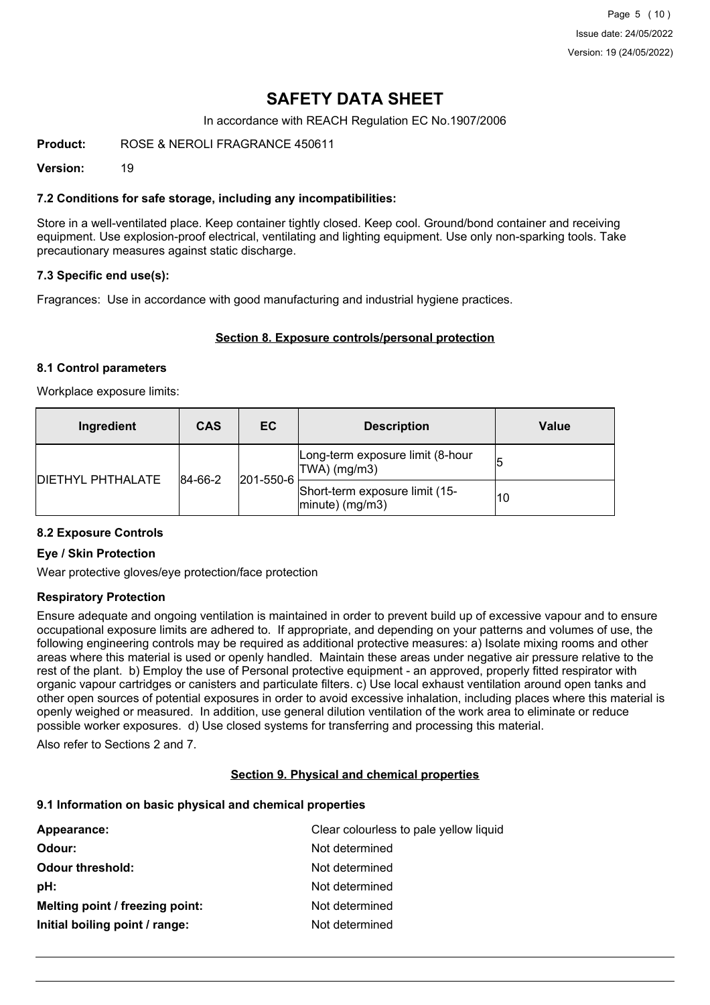# **SAFETY DATA SHEET**

In accordance with REACH Regulation EC No.1907/2006

**Product:** ROSE & NEROLI FRAGRANCE 450611

**Version:** 19

## **7.2 Conditions for safe storage, including any incompatibilities:**

Store in a well-ventilated place. Keep container tightly closed. Keep cool. Ground/bond container and receiving equipment. Use explosion-proof electrical, ventilating and lighting equipment. Use only non-sparking tools. Take precautionary measures against static discharge.

## **7.3 Specific end use(s):**

Fragrances: Use in accordance with good manufacturing and industrial hygiene practices.

#### **Section 8. Exposure controls/personal protection**

#### **8.1 Control parameters**

Workplace exposure limits:

| Ingredient               | <b>CAS</b>  | EC.               | <b>Description</b>                                       | Value |
|--------------------------|-------------|-------------------|----------------------------------------------------------|-------|
| <b>DIETHYL PHTHALATE</b> | $ 84-66-2 $ |                   | Long-term exposure limit (8-hour<br>TWA) (mg/m3)         | 15    |
|                          |             | $ 201 - 550 - 6 $ | Short-term exposure limit (15-<br>$ $ minute $ $ (mg/m3) | 10    |

## **8.2 Exposure Controls**

#### **Eye / Skin Protection**

Wear protective gloves/eye protection/face protection

## **Respiratory Protection**

Ensure adequate and ongoing ventilation is maintained in order to prevent build up of excessive vapour and to ensure occupational exposure limits are adhered to. If appropriate, and depending on your patterns and volumes of use, the following engineering controls may be required as additional protective measures: a) Isolate mixing rooms and other areas where this material is used or openly handled. Maintain these areas under negative air pressure relative to the rest of the plant. b) Employ the use of Personal protective equipment - an approved, properly fitted respirator with organic vapour cartridges or canisters and particulate filters. c) Use local exhaust ventilation around open tanks and other open sources of potential exposures in order to avoid excessive inhalation, including places where this material is openly weighed or measured. In addition, use general dilution ventilation of the work area to eliminate or reduce possible worker exposures. d) Use closed systems for transferring and processing this material.

Also refer to Sections 2 and 7.

#### **Section 9. Physical and chemical properties**

#### **9.1 Information on basic physical and chemical properties**

| Appearance:                     | Clear colourless to pale yellow liquid |
|---------------------------------|----------------------------------------|
| Odour:                          | Not determined                         |
| <b>Odour threshold:</b>         | Not determined                         |
| pH:                             | Not determined                         |
| Melting point / freezing point: | Not determined                         |
| Initial boiling point / range:  | Not determined                         |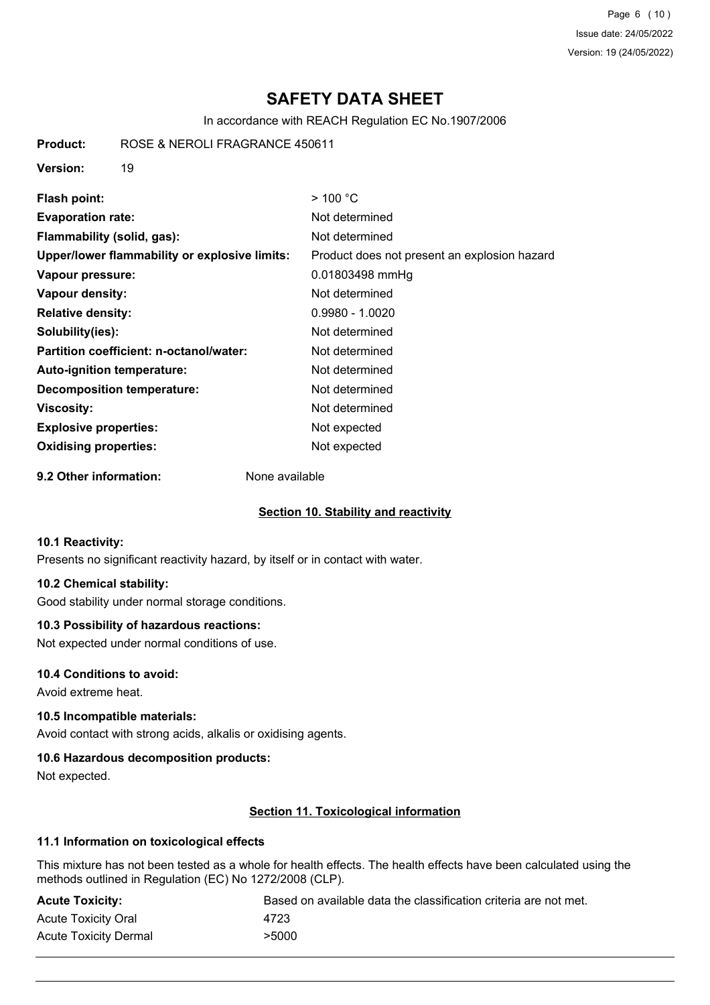Page 6 (10) Issue date: 24/05/2022 Version: 19 (24/05/2022)

# **SAFETY DATA SHEET**

In accordance with REACH Regulation EC No.1907/2006

**Product:** ROSE & NEROLI FRAGRANCE 450611

**Version:** 19

| Flash point:                                  | $>$ 100 °C                                   |
|-----------------------------------------------|----------------------------------------------|
| <b>Evaporation rate:</b>                      | Not determined                               |
| Flammability (solid, gas):                    | Not determined                               |
| Upper/lower flammability or explosive limits: | Product does not present an explosion hazard |
| Vapour pressure:                              | 0.01803498 mmHg                              |
| Vapour density:                               | Not determined                               |
| <b>Relative density:</b>                      | $0.9980 - 1.0020$                            |
| Solubility(ies):                              | Not determined                               |
| Partition coefficient: n-octanol/water:       | Not determined                               |
| <b>Auto-ignition temperature:</b>             | Not determined                               |
| <b>Decomposition temperature:</b>             | Not determined                               |
| Viscosity:                                    | Not determined                               |
| <b>Explosive properties:</b>                  | Not expected                                 |
| <b>Oxidising properties:</b>                  | Not expected                                 |

**9.2 Other information:** None available

## **Section 10. Stability and reactivity**

## **10.1 Reactivity:**

Presents no significant reactivity hazard, by itself or in contact with water.

## **10.2 Chemical stability:**

Good stability under normal storage conditions.

## **10.3 Possibility of hazardous reactions:**

Not expected under normal conditions of use.

## **10.4 Conditions to avoid:**

Avoid extreme heat.

## **10.5 Incompatible materials:**

Avoid contact with strong acids, alkalis or oxidising agents.

## **10.6 Hazardous decomposition products:**

Not expected.

## **Section 11. Toxicological information**

## **11.1 Information on toxicological effects**

This mixture has not been tested as a whole for health effects. The health effects have been calculated using the methods outlined in Regulation (EC) No 1272/2008 (CLP).

| <b>Acute Toxicity:</b>     | Based on available data the classification criteria are not met. |
|----------------------------|------------------------------------------------------------------|
| <b>Acute Toxicity Oral</b> | 4723                                                             |
| Acute Toxicity Dermal      | >5000                                                            |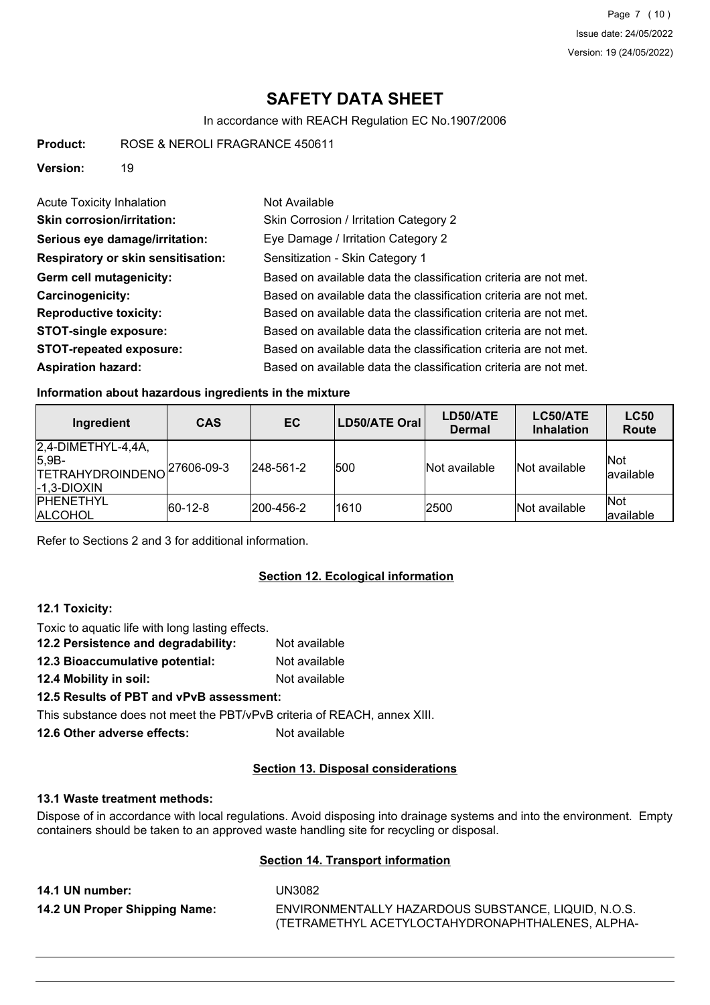Page 7 (10) Issue date: 24/05/2022 Version: 19 (24/05/2022)

# **SAFETY DATA SHEET**

In accordance with REACH Regulation EC No.1907/2006

**Product:** ROSE & NEROLI FRAGRANCE 450611

**Version:** 19

| <b>Acute Toxicity Inhalation</b>          | Not Available                                                    |
|-------------------------------------------|------------------------------------------------------------------|
| <b>Skin corrosion/irritation:</b>         | Skin Corrosion / Irritation Category 2                           |
| Serious eye damage/irritation:            | Eye Damage / Irritation Category 2                               |
| <b>Respiratory or skin sensitisation:</b> | Sensitization - Skin Category 1                                  |
| Germ cell mutagenicity:                   | Based on available data the classification criteria are not met. |
| <b>Carcinogenicity:</b>                   | Based on available data the classification criteria are not met. |
| <b>Reproductive toxicity:</b>             | Based on available data the classification criteria are not met. |
| <b>STOT-single exposure:</b>              | Based on available data the classification criteria are not met. |
| <b>STOT-repeated exposure:</b>            | Based on available data the classification criteria are not met. |
| <b>Aspiration hazard:</b>                 | Based on available data the classification criteria are not met. |

## **Information about hazardous ingredients in the mixture**

| Ingredient                                                                      | <b>CAS</b>  | EC.               | LD50/ATE Oral | LD50/ATE<br><b>Dermal</b> | LC50/ATE<br><b>Inhalation</b> | <b>LC50</b><br>Route |
|---------------------------------------------------------------------------------|-------------|-------------------|---------------|---------------------------|-------------------------------|----------------------|
| $2,4$ -DIMETHYL-4,4A,<br>$ 5,9B-$<br><b>TETRAHYDROINDENO</b><br>$[-1,3-DIOXIN]$ | 27606-09-3  | $ 248 - 561 - 2 $ | 500           | Not available             | Not available                 | Not<br>lavailable    |
| <b>IPHENETHYL</b><br><b>ALCOHOL</b>                                             | $ 60-12-8 $ | 200-456-2         | 1610          | 2500                      | Not available                 | Not<br>available     |

Refer to Sections 2 and 3 for additional information.

## **Section 12. Ecological information**

## **12.1 Toxicity:**

Toxic to aquatic life with long lasting effects. **12.2 Persistence and degradability:** Not available **12.3 Bioaccumulative potential:** Not available

**12.4 Mobility in soil:** Not available

## **12.5 Results of PBT and vPvB assessment:**

This substance does not meet the PBT/vPvB criteria of REACH, annex XIII.

**12.6 Other adverse effects:** Not available

## **Section 13. Disposal considerations**

## **13.1 Waste treatment methods:**

Dispose of in accordance with local regulations. Avoid disposing into drainage systems and into the environment. Empty containers should be taken to an approved waste handling site for recycling or disposal.

## **Section 14. Transport information**

**14.1 UN number:** UN3082 **14.2 UN Proper Shipping Name:** ENVIRONMENTALLY HAZARDOUS SUBSTANCE, LIQUID, N.O.S. (TETRAMETHYL ACETYLOCTAHYDRONAPHTHALENES, ALPHA-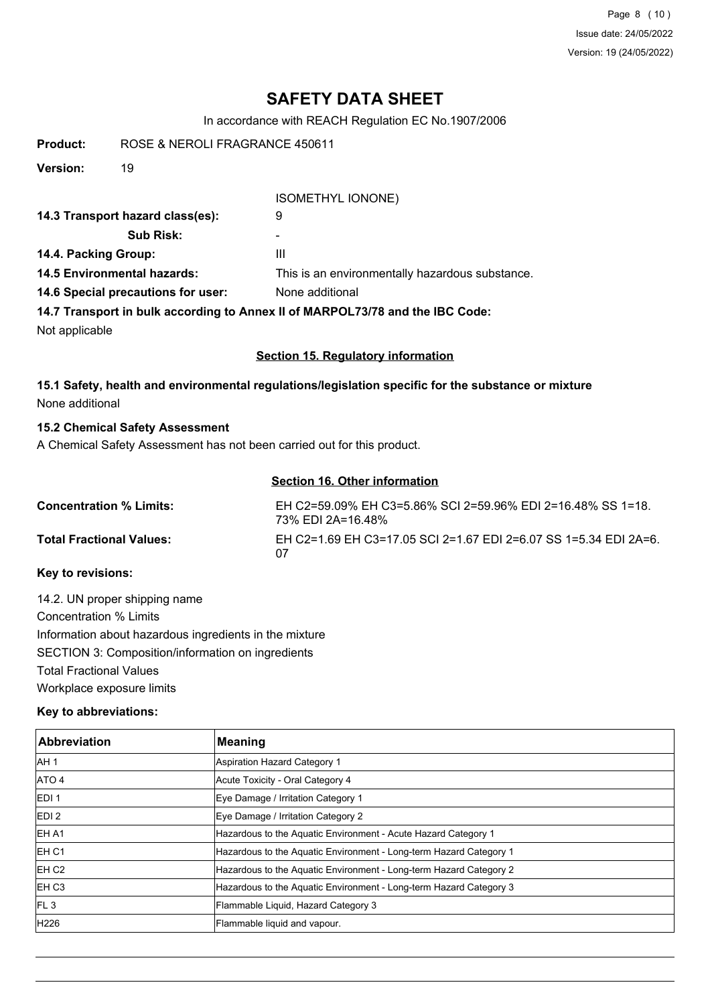Page 8 (10) Issue date: 24/05/2022 Version: 19 (24/05/2022)

# **SAFETY DATA SHEET**

In accordance with REACH Regulation EC No.1907/2006

| ROSE & NEROLI FRAGRANCE 450611<br>Product: |
|--------------------------------------------|
|--------------------------------------------|

**Version:** 19

#### ISOMETHYL IONONE)

| 14.3 Transport hazard class(es):   | 9                                                                             |
|------------------------------------|-------------------------------------------------------------------------------|
| <b>Sub Risk:</b>                   | ۰                                                                             |
| 14.4. Packing Group:               | Ш                                                                             |
| <b>14.5 Environmental hazards:</b> | This is an environmentally hazardous substance.                               |
| 14.6 Special precautions for user: | None additional                                                               |
|                                    | 14.7 Transport in bulk according to Annex II of MARPOL73/78 and the IBC Code: |
| Not applicable                     |                                                                               |

#### **Section 15. Regulatory information**

## **15.1 Safety, health and environmental regulations/legislation specific for the substance or mixture** None additional

## **15.2 Chemical Safety Assessment**

A Chemical Safety Assessment has not been carried out for this product.

## **Section 16. Other information**

| <b>Concentration % Limits:</b>  | EH C2=59.09% EH C3=5.86% SCI 2=59.96% EDI 2=16.48% SS 1=18.<br>73% EDI 2A=16.48% |
|---------------------------------|----------------------------------------------------------------------------------|
| <b>Total Fractional Values:</b> | EH C2=1.69 EH C3=17.05 SCI 2=1.67 EDI 2=6.07 SS 1=5.34 EDI 2A=6.<br>07           |

## **Key to revisions:**

14.2. UN proper shipping name Concentration % Limits Information about hazardous ingredients in the mixture SECTION 3: Composition/information on ingredients Total Fractional Values Workplace exposure limits

## **Key to abbreviations:**

| <b>Abbreviation</b> | <b>Meaning</b>                                                     |
|---------------------|--------------------------------------------------------------------|
| AH <sub>1</sub>     | Aspiration Hazard Category 1                                       |
| ATO 4               | Acute Toxicity - Oral Category 4                                   |
| <b>EDI1</b>         | Eye Damage / Irritation Category 1                                 |
| EDI <sub>2</sub>    | Eye Damage / Irritation Category 2                                 |
| IEH A1              | Hazardous to the Aquatic Environment - Acute Hazard Category 1     |
| EH <sub>C1</sub>    | Hazardous to the Aquatic Environment - Long-term Hazard Category 1 |
| EH <sub>C2</sub>    | Hazardous to the Aquatic Environment - Long-term Hazard Category 2 |
| EH <sub>C3</sub>    | Hazardous to the Aquatic Environment - Long-term Hazard Category 3 |
| FL3                 | Flammable Liquid, Hazard Category 3                                |
| H <sub>226</sub>    | Flammable liquid and vapour.                                       |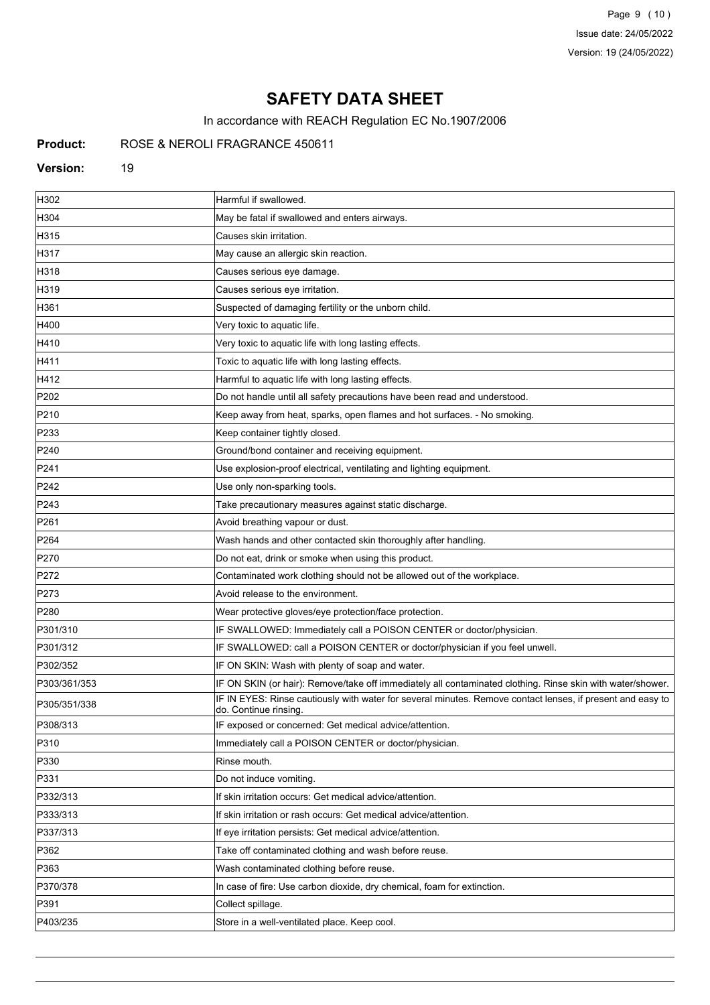Page 9 (10) Issue date: 24/05/2022 Version: 19 (24/05/2022)

# **SAFETY DATA SHEET**

In accordance with REACH Regulation EC No.1907/2006

## **Product:** ROSE & NEROLI FRAGRANCE 450611

#### **Version:** 19

| H302             | Harmful if swallowed.                                                                                                               |
|------------------|-------------------------------------------------------------------------------------------------------------------------------------|
| H304             | May be fatal if swallowed and enters airways.                                                                                       |
| H315             | Causes skin irritation.                                                                                                             |
| H317             | May cause an allergic skin reaction.                                                                                                |
| H318             | Causes serious eye damage.                                                                                                          |
| H319             | Causes serious eye irritation.                                                                                                      |
| H361             | Suspected of damaging fertility or the unborn child.                                                                                |
| H400             | Very toxic to aquatic life.                                                                                                         |
| H410             | Very toxic to aquatic life with long lasting effects.                                                                               |
| H411             | Toxic to aquatic life with long lasting effects.                                                                                    |
| H412             | Harmful to aquatic life with long lasting effects.                                                                                  |
| P202             | Do not handle until all safety precautions have been read and understood.                                                           |
| P210             | Keep away from heat, sparks, open flames and hot surfaces. - No smoking.                                                            |
| P233             | Keep container tightly closed.                                                                                                      |
| P240             | Ground/bond container and receiving equipment.                                                                                      |
| P241             | Use explosion-proof electrical, ventilating and lighting equipment.                                                                 |
| P242             | Use only non-sparking tools.                                                                                                        |
| P243             | Take precautionary measures against static discharge.                                                                               |
| P261             | Avoid breathing vapour or dust.                                                                                                     |
| P <sub>264</sub> | Wash hands and other contacted skin thoroughly after handling.                                                                      |
| P270             | Do not eat, drink or smoke when using this product.                                                                                 |
| P272             | Contaminated work clothing should not be allowed out of the workplace.                                                              |
| P273             | Avoid release to the environment.                                                                                                   |
| P280             | Wear protective gloves/eye protection/face protection.                                                                              |
| P301/310         | IF SWALLOWED: Immediately call a POISON CENTER or doctor/physician.                                                                 |
| P301/312         | IF SWALLOWED: call a POISON CENTER or doctor/physician if you feel unwell.                                                          |
| P302/352         | IF ON SKIN: Wash with plenty of soap and water.                                                                                     |
| P303/361/353     | IF ON SKIN (or hair): Remove/take off immediately all contaminated clothing. Rinse skin with water/shower.                          |
| P305/351/338     | IF IN EYES: Rinse cautiously with water for several minutes. Remove contact lenses, if present and easy to<br>do. Continue rinsing. |
| P308/313         | IF exposed or concerned: Get medical advice/attention.                                                                              |
| P310             | Immediately call a POISON CENTER or doctor/physician.                                                                               |
| P330             | Rinse mouth.                                                                                                                        |
| P331             | Do not induce vomiting.                                                                                                             |
| P332/313         | If skin irritation occurs: Get medical advice/attention.                                                                            |
| P333/313         | If skin irritation or rash occurs: Get medical advice/attention.                                                                    |
| P337/313         | If eye irritation persists: Get medical advice/attention.                                                                           |
| P362             | Take off contaminated clothing and wash before reuse.                                                                               |
| P363             | Wash contaminated clothing before reuse.                                                                                            |
| P370/378         | In case of fire: Use carbon dioxide, dry chemical, foam for extinction.                                                             |
| P391             | Collect spillage.                                                                                                                   |
| P403/235         | Store in a well-ventilated place. Keep cool.                                                                                        |